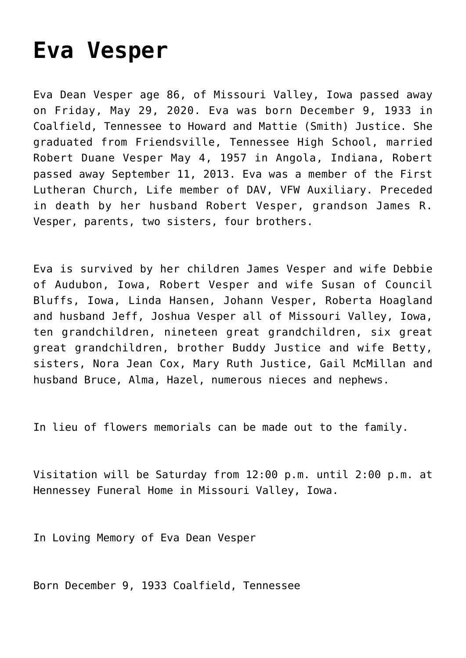## **[Eva Vesper](https://hennesseyonline.com/eva-vesper/)**

Eva Dean Vesper age 86, of Missouri Valley, Iowa passed away on Friday, May 29, 2020. Eva was born December 9, 1933 in Coalfield, Tennessee to Howard and Mattie (Smith) Justice. She graduated from Friendsville, Tennessee High School, married Robert Duane Vesper May 4, 1957 in Angola, Indiana, Robert passed away September 11, 2013. Eva was a member of the First Lutheran Church, Life member of DAV, VFW Auxiliary. Preceded in death by her husband Robert Vesper, grandson James R. Vesper, parents, two sisters, four brothers.

Eva is survived by her children James Vesper and wife Debbie of Audubon, Iowa, Robert Vesper and wife Susan of Council Bluffs, Iowa, Linda Hansen, Johann Vesper, Roberta Hoagland and husband Jeff, Joshua Vesper all of Missouri Valley, Iowa, ten grandchildren, nineteen great grandchildren, six great great grandchildren, brother Buddy Justice and wife Betty, sisters, Nora Jean Cox, Mary Ruth Justice, Gail McMillan and husband Bruce, Alma, Hazel, numerous nieces and nephews.

In lieu of flowers memorials can be made out to the family.

Visitation will be Saturday from 12:00 p.m. until 2:00 p.m. at Hennessey Funeral Home in Missouri Valley, Iowa.

In Loving Memory of Eva Dean Vesper

Born December 9, 1933 Coalfield, Tennessee